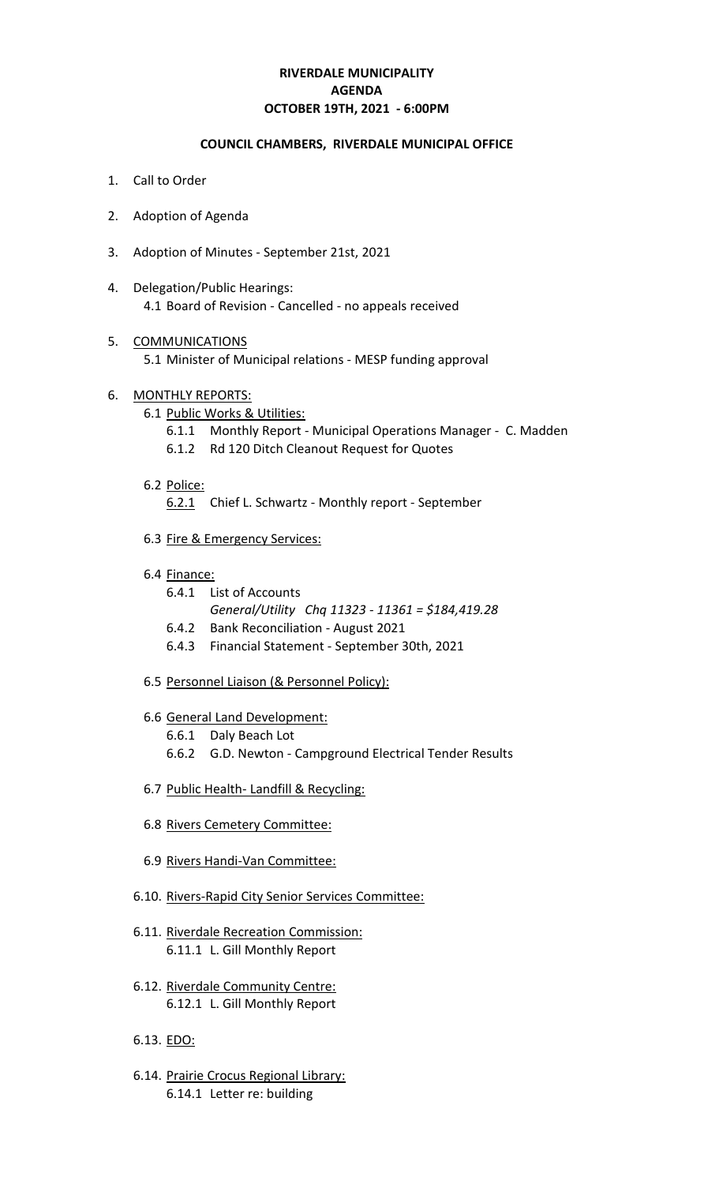# **RIVERDALE MUNICIPALITY OCTOBER 19TH, 2021 - 6:00PM AGENDA**

#### **COUNCIL CHAMBERS, RIVERDALE MUNICIPAL OFFICE**

- 1. Call to Order
- 2. Adoption of Agenda
- 3. Adoption of Minutes September 21st, 2021
- 4. Delegation/Public Hearings: 4.1 Board of Revision - Cancelled - no appeals received
- 5. COMMUNICATIONS 5.1 Minister of Municipal relations - MESP funding approval
- 6. MONTHLY REPORTS:
	- 6.1 Public Works & Utilities:
		- 6.1.1 Monthly Report Municipal Operations Manager C. Madden
		- 6.1.2 Rd 120 Ditch Cleanout Request for Quotes
	- 6.2 Police:

6.2.1 Chief L. Schwartz - Monthly report - September

- 6.3 Fire & Emergency Services:
- 6.4 Finance:
	- 6.4.1 List of Accounts
		- *General/Utility Chq 11323 11361 = \$184,419.28*
	- 6.4.2 Bank Reconciliation August 2021
	- 6.4.3 Financial Statement September 30th, 2021
- 6.5 Personnel Liaison (& Personnel Policy):
- 6.6 General Land Development:
	- 6.6.1 Daly Beach Lot
	- 6.6.2 G.D. Newton Campground Electrical Tender Results
- 6.7 Public Health- Landfill & Recycling:
- 6.8 Rivers Cemetery Committee:
- 6.9 Rivers Handi-Van Committee:
- 6.10. Rivers-Rapid City Senior Services Committee:
- 6.11. Riverdale Recreation Commission: 6.11.1 L. Gill Monthly Report
- 6.12. Riverdale Community Centre: 6.12.1 L. Gill Monthly Report
- 6.13. EDO:
- 6.14. Prairie Crocus Regional Library: 6.14.1 Letter re: building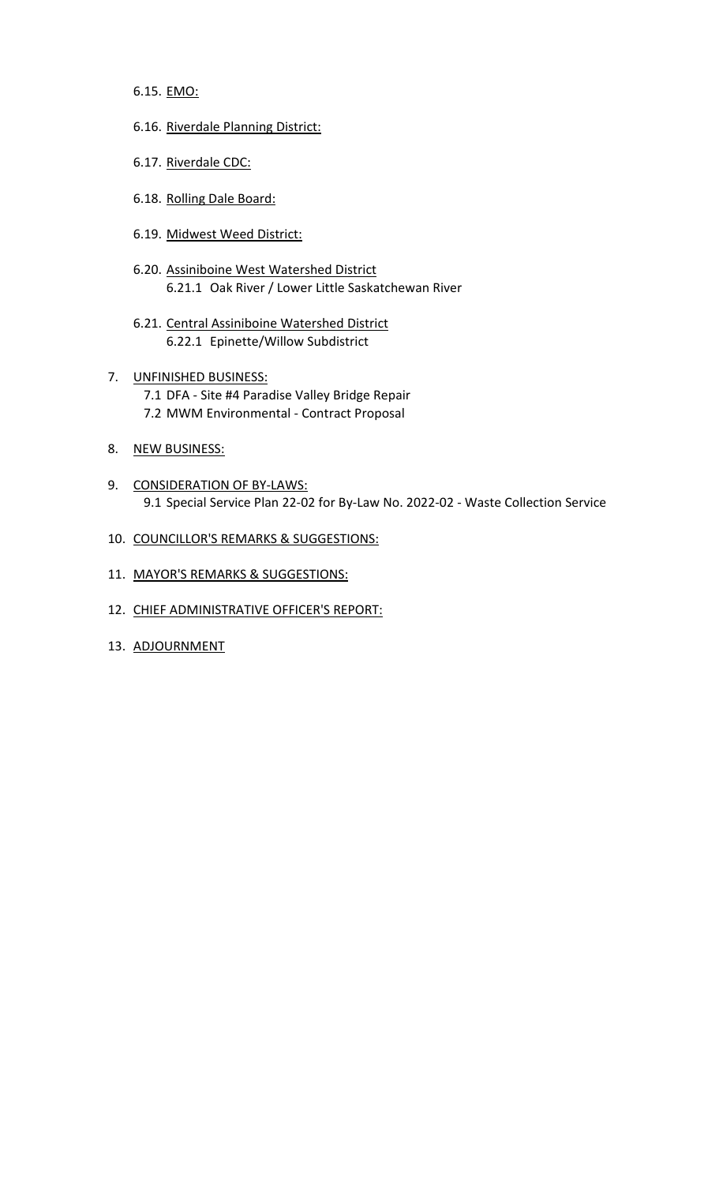6.15. EMO:

- 6.16. Riverdale Planning District:
- 6.17. Riverdale CDC:
- 6.18. Rolling Dale Board:
- 6.19. Midwest Weed District:
- 6.20. Assiniboine West Watershed District 6.21.1 Oak River / Lower Little Saskatchewan River
- 6.21. Central Assiniboine Watershed District 6.22.1 Epinette/Willow Subdistrict
- 7. UNFINISHED BUSINESS: 7.1 DFA - Site #4 Paradise Valley Bridge Repair 7.2 MWM Environmental - Contract Proposal
- 8. NEW BUSINESS:
- 9. CONSIDERATION OF BY-LAWS: 9.1 Special Service Plan 22-02 for By-Law No. 2022-02 - Waste Collection Service
- 10. COUNCILLOR'S REMARKS & SUGGESTIONS:
- 11. MAYOR'S REMARKS & SUGGESTIONS:
- 12. CHIEF ADMINISTRATIVE OFFICER'S REPORT:
- 13. ADJOURNMENT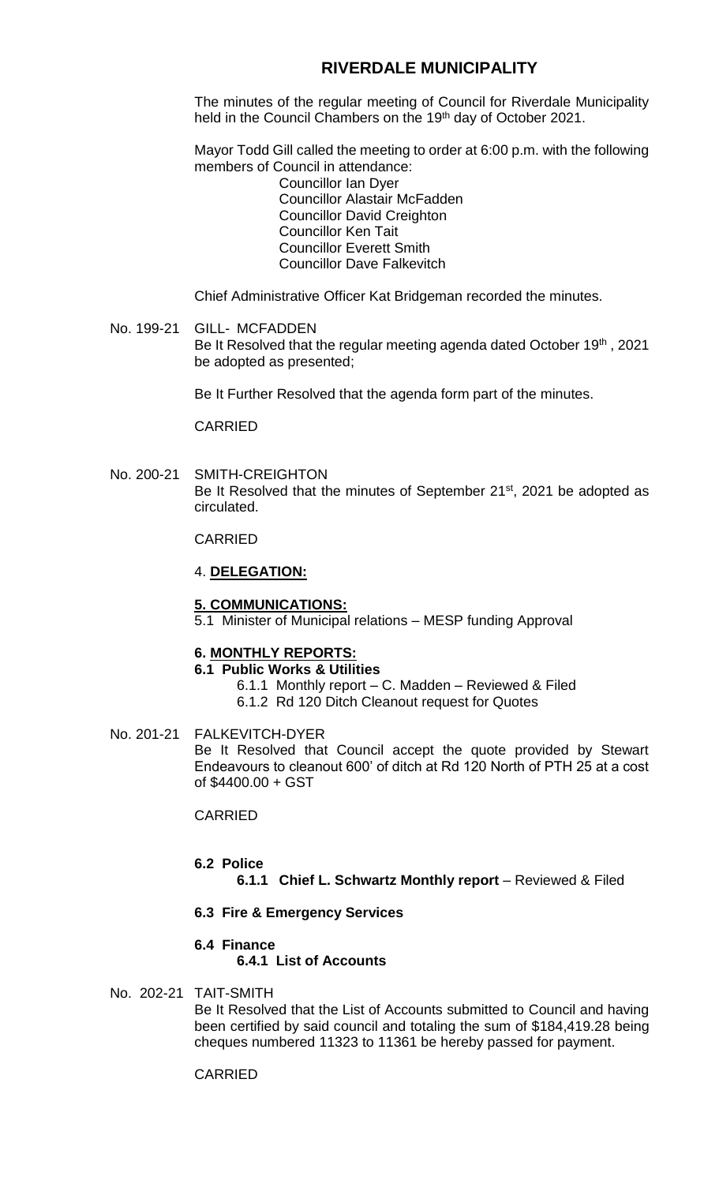# **RIVERDALE MUNICIPALITY**

The minutes of the regular meeting of Council for Riverdale Municipality held in the Council Chambers on the 19<sup>th</sup> day of October 2021.

Mayor Todd Gill called the meeting to order at 6:00 p.m. with the following members of Council in attendance:

Councillor Ian Dyer Councillor Alastair McFadden Councillor David Creighton Councillor Ken Tait Councillor Everett Smith Councillor Dave Falkevitch

Chief Administrative Officer Kat Bridgeman recorded the minutes.

## No. 199-21 GILL- MCFADDEN Be It Resolved that the regular meeting agenda dated October 19<sup>th</sup>, 2021 be adopted as presented;

Be It Further Resolved that the agenda form part of the minutes.

CARRIED

No. 200-21 SMITH-CREIGHTON Be It Resolved that the minutes of September 21<sup>st</sup>, 2021 be adopted as circulated.

CARRIED

### 4. **DELEGATION:**

### **5. COMMUNICATIONS:**

5.1 Minister of Municipal relations – MESP funding Approval

### **6. MONTHLY REPORTS:**

## **6.1 Public Works & Utilities**

- 6.1.1 Monthly report C. Madden Reviewed & Filed
- 6.1.2 Rd 120 Ditch Cleanout request for Quotes

### No. 201-21 FALKEVITCH-DYER

Be It Resolved that Council accept the quote provided by Stewart Endeavours to cleanout 600' of ditch at Rd 120 North of PTH 25 at a cost of \$4400.00 + GST

## CARRIED

### **6.2 Police**

**6.1.1 Chief L. Schwartz Monthly report** – Reviewed & Filed

### **6.3 Fire & Emergency Services**

### **6.4 Finance**

**6.4.1 List of Accounts**

# No. 202-21 TAIT-SMITH

Be It Resolved that the List of Accounts submitted to Council and having been certified by said council and totaling the sum of \$184,419.28 being cheques numbered 11323 to 11361 be hereby passed for payment.

## CARRIED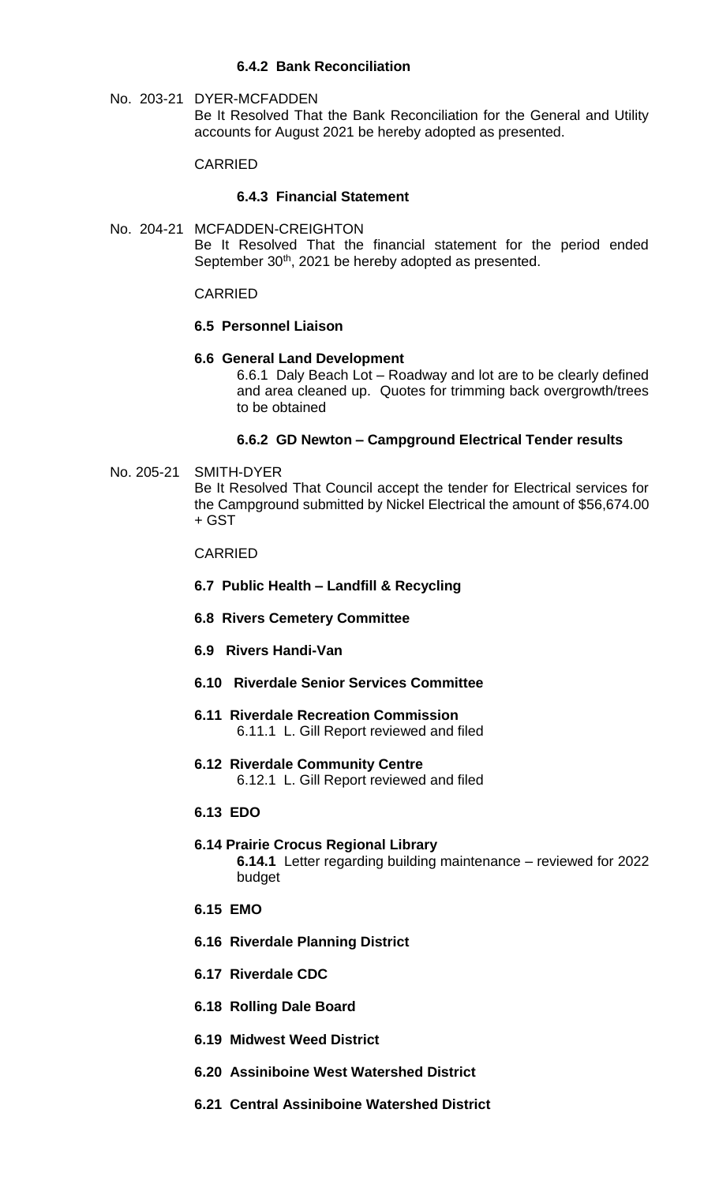## **6.4.2 Bank Reconciliation**

No. 203-21 DYER-MCFADDEN Be It Resolved That the Bank Reconciliation for the General and Utility accounts for August 2021 be hereby adopted as presented.

## CARRIED

### **6.4.3 Financial Statement**

No. 204-21 MCFADDEN-CREIGHTON Be It Resolved That the financial statement for the period ended September 30<sup>th</sup>, 2021 be hereby adopted as presented.

CARRIED

#### **6.5 Personnel Liaison**

#### **6.6 General Land Development**

6.6.1 Daly Beach Lot – Roadway and lot are to be clearly defined and area cleaned up. Quotes for trimming back overgrowth/trees to be obtained

## **6.6.2 GD Newton – Campground Electrical Tender results**

#### No. 205-21 SMITH-DYER

Be It Resolved That Council accept the tender for Electrical services for the Campground submitted by Nickel Electrical the amount of \$56,674.00 + GST

#### CARRIED

### **6.7 Public Health – Landfill & Recycling**

- **6.8 Rivers Cemetery Committee**
- **6.9 Rivers Handi-Van**
- **6.10 Riverdale Senior Services Committee**
- **6.11 Riverdale Recreation Commission** 6.11.1 L. Gill Report reviewed and filed
- **6.12 Riverdale Community Centre** 6.12.1 L. Gill Report reviewed and filed
- **6.13 EDO**
- **6.14 Prairie Crocus Regional Library 6.14.1** Letter regarding building maintenance – reviewed for 2022 budget
- **6.15 EMO**
- **6.16 Riverdale Planning District**
- **6.17 Riverdale CDC**
- **6.18 Rolling Dale Board**
- **6.19 Midwest Weed District**
- **6.20 Assiniboine West Watershed District**
- **6.21 Central Assiniboine Watershed District**